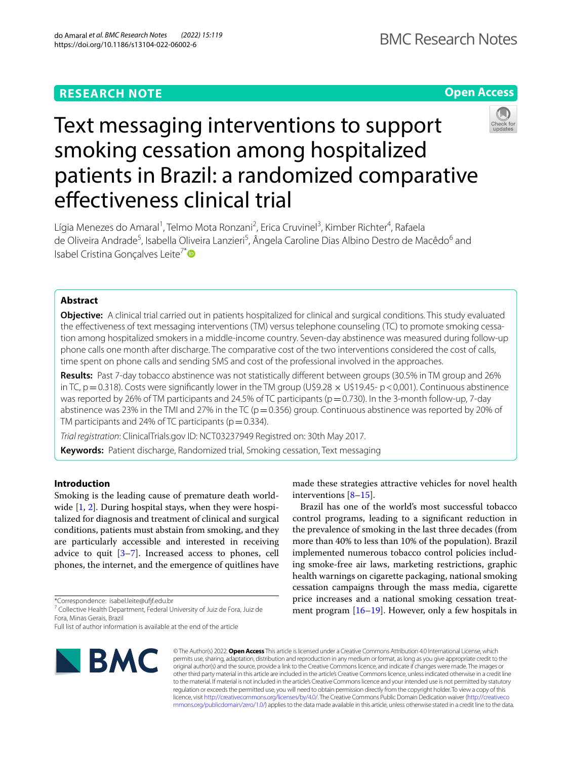# **Open Access**



# Text messaging interventions to support smoking cessation among hospitalized patients in Brazil: a randomized comparative efectiveness clinical trial

Lígia Menezes do Amaral<sup>1</sup>, Telmo Mota Ronzani<sup>2</sup>, Erica Cruvinel<sup>3</sup>, Kimber Richter<sup>4</sup>, Rafaela de Oliveira Andrade<sup>5</sup>, Isabella Oliveira Lanzieri<sup>5</sup>, Ângela Caroline Dias Albino Destro de Macêdo<sup>6</sup> and Isabel Cristina Gonçalves Leite<sup>7[\\*](http://orcid.org/0000-0003-1258-7331)</sup><sup>●</sup>

# **Abstract**

**Objective:** A clinical trial carried out in patients hospitalized for clinical and surgical conditions. This study evaluated the efectiveness of text messaging interventions (TM) versus telephone counseling (TC) to promote smoking cessation among hospitalized smokers in a middle-income country. Seven-day abstinence was measured during follow-up phone calls one month after discharge. The comparative cost of the two interventions considered the cost of calls, time spent on phone calls and sending SMS and cost of the professional involved in the approaches.

**Results:** Past 7-day tobacco abstinence was not statistically diferent between groups (30.5% in TM group and 26% in TC,  $p=0.318$ ). Costs were significantly lower in the TM group (U\$9.28  $\times$  U\$19.45- p <0,001). Continuous abstinence was reported by 26% of TM participants and 24.5% of TC participants (p=0.730). In the 3-month follow-up, 7-day abstinence was 23% in the TMI and 27% in the TC ( $p=0.356$ ) group. Continuous abstinence was reported by 20% of TM participants and 24% of TC participants ( $p=0.334$ ).

*Trial registration*: ClinicalTrials.gov ID: NCT03237949 Registred on: 30th May 2017.

**Keywords:** Patient discharge, Randomized trial, Smoking cessation, Text messaging

# **Introduction**

Smoking is the leading cause of premature death world-wide [[1,](#page-5-0) [2\]](#page-5-1). During hospital stays, when they were hospitalized for diagnosis and treatment of clinical and surgical conditions, patients must abstain from smoking, and they are particularly accessible and interested in receiving advice to quit  $[3-7]$  $[3-7]$ . Increased access to phones, cell phones, the internet, and the emergence of quitlines have

\*Correspondence: isabel.leite@uff.edu.br

Full list of author information is available at the end of the article



made these strategies attractive vehicles for novel health interventions [[8–](#page-6-1)[15](#page-6-2)].

Brazil has one of the world's most successful tobacco control programs, leading to a signifcant reduction in the prevalence of smoking in the last three decades (from more than 40% to less than 10% of the population). Brazil implemented numerous tobacco control policies including smoke-free air laws, marketing restrictions, graphic health warnings on cigarette packaging, national smoking cessation campaigns through the mass media, cigarette price increases and a national smoking cessation treatment program [\[16](#page-6-3)[–19](#page-6-4)]. However, only a few hospitals in

© The Author(s) 2022. **Open Access** This article is licensed under a Creative Commons Attribution 4.0 International License, which permits use, sharing, adaptation, distribution and reproduction in any medium or format, as long as you give appropriate credit to the original author(s) and the source, provide a link to the Creative Commons licence, and indicate if changes were made. The images or other third party material in this article are included in the article's Creative Commons licence, unless indicated otherwise in a credit line to the material. If material is not included in the article's Creative Commons licence and your intended use is not permitted by statutory regulation or exceeds the permitted use, you will need to obtain permission directly from the copyright holder. To view a copy of this licence, visit [http://creativecommons.org/licenses/by/4.0/.](http://creativecommons.org/licenses/by/4.0/) The Creative Commons Public Domain Dedication waiver ([http://creativeco](http://creativecommons.org/publicdomain/zero/1.0/) [mmons.org/publicdomain/zero/1.0/](http://creativecommons.org/publicdomain/zero/1.0/)) applies to the data made available in this article, unless otherwise stated in a credit line to the data.

<sup>&</sup>lt;sup>7</sup> Collective Health Department, Federal University of Juiz de Fora, Juiz de Fora, Minas Gerais, Brazil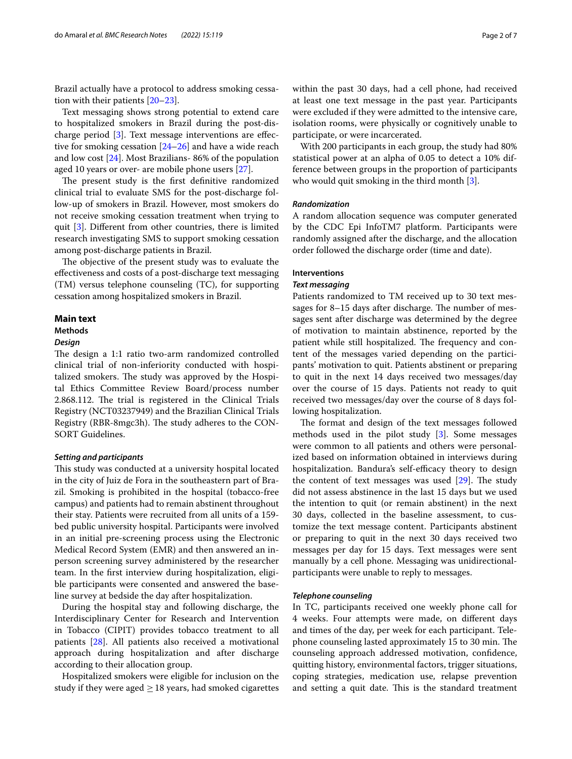Brazil actually have a protocol to address smoking cessation with their patients [[20–](#page-6-5)[23](#page-6-6)].

Text messaging shows strong potential to extend care to hospitalized smokers in Brazil during the post-discharge period [[3\]](#page-5-2). Text message interventions are efective for smoking cessation [[24–](#page-6-7)[26](#page-6-8)] and have a wide reach and low cost [\[24](#page-6-7)]. Most Brazilians- 86% of the population aged 10 years or over- are mobile phone users [\[27](#page-6-9)].

The present study is the first definitive randomized clinical trial to evaluate SMS for the post-discharge follow-up of smokers in Brazil. However, most smokers do not receive smoking cessation treatment when trying to quit [[3\]](#page-5-2). Diferent from other countries, there is limited research investigating SMS to support smoking cessation among post-discharge patients in Brazil.

The objective of the present study was to evaluate the efectiveness and costs of a post-discharge text messaging (TM) versus telephone counseling (TC), for supporting cessation among hospitalized smokers in Brazil.

# **Main text**

#### **Methods**

# *Design*

The design a 1:1 ratio two-arm randomized controlled clinical trial of non-inferiority conducted with hospitalized smokers. The study was approved by the Hospital Ethics Committee Review Board/process number 2.868.112. The trial is registered in the Clinical Trials Registry (NCT03237949) and the Brazilian Clinical Trials Registry (RBR-8mgc3h). The study adheres to the CON-SORT Guidelines.

# *Setting and participants*

This study was conducted at a university hospital located in the city of Juiz de Fora in the southeastern part of Brazil. Smoking is prohibited in the hospital (tobacco-free campus) and patients had to remain abstinent throughout their stay. Patients were recruited from all units of a 159 bed public university hospital. Participants were involved in an initial pre-screening process using the Electronic Medical Record System (EMR) and then answered an inperson screening survey administered by the researcher team. In the frst interview during hospitalization, eligible participants were consented and answered the baseline survey at bedside the day after hospitalization.

During the hospital stay and following discharge, the Interdisciplinary Center for Research and Intervention in Tobacco (CIPIT) provides tobacco treatment to all patients [[28\]](#page-6-10). All patients also received a motivational approach during hospitalization and after discharge according to their allocation group.

Hospitalized smokers were eligible for inclusion on the study if they were aged  $\geq$  18 years, had smoked cigarettes within the past 30 days, had a cell phone, had received at least one text message in the past year. Participants were excluded if they were admitted to the intensive care, isolation rooms, were physically or cognitively unable to participate, or were incarcerated.

With 200 participants in each group, the study had 80% statistical power at an alpha of 0.05 to detect a 10% difference between groups in the proportion of participants who would quit smoking in the third month [\[3](#page-5-2)].

# *Randomization*

A random allocation sequence was computer generated by the CDC Epi InfoTM7 platform. Participants were randomly assigned after the discharge, and the allocation order followed the discharge order (time and date).

# **Interventions**

# *Text messaging*

Patients randomized to TM received up to 30 text messages for  $8-15$  days after discharge. The number of messages sent after discharge was determined by the degree of motivation to maintain abstinence, reported by the patient while still hospitalized. The frequency and content of the messages varied depending on the participants' motivation to quit. Patients abstinent or preparing to quit in the next 14 days received two messages/day over the course of 15 days. Patients not ready to quit received two messages/day over the course of 8 days following hospitalization.

The format and design of the text messages followed methods used in the pilot study [[3\]](#page-5-2). Some messages were common to all patients and others were personalized based on information obtained in interviews during hospitalization. Bandura's self-efficacy theory to design the content of text messages was used  $[29]$  $[29]$ . The study did not assess abstinence in the last 15 days but we used the intention to quit (or remain abstinent) in the next 30 days, collected in the baseline assessment, to customize the text message content. Participants abstinent or preparing to quit in the next 30 days received two messages per day for 15 days. Text messages were sent manually by a cell phone. Messaging was unidirectionalparticipants were unable to reply to messages.

# *Telephone counseling*

In TC, participants received one weekly phone call for 4 weeks. Four attempts were made, on diferent days and times of the day, per week for each participant. Telephone counseling lasted approximately 15 to 30 min. The counseling approach addressed motivation, confdence, quitting history, environmental factors, trigger situations, coping strategies, medication use, relapse prevention and setting a quit date. This is the standard treatment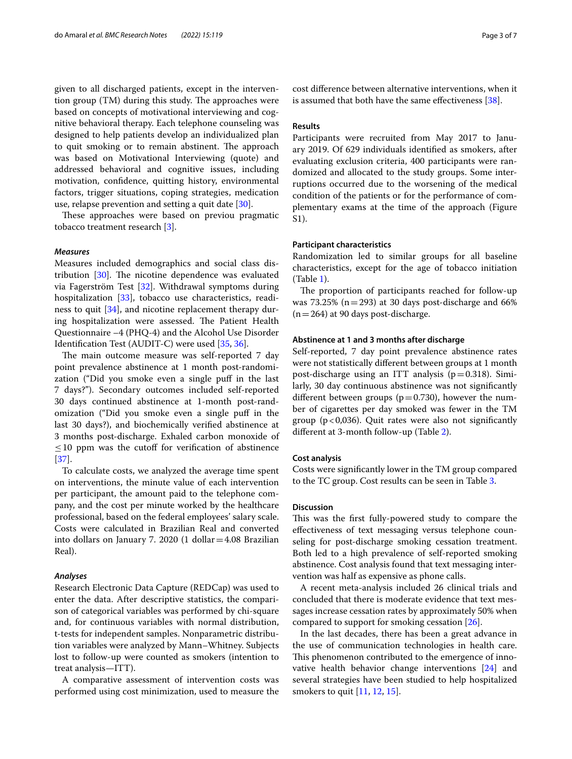given to all discharged patients, except in the intervention group  $(TM)$  during this study. The approaches were based on concepts of motivational interviewing and cognitive behavioral therapy. Each telephone counseling was designed to help patients develop an individualized plan to quit smoking or to remain abstinent. The approach was based on Motivational Interviewing (quote) and addressed behavioral and cognitive issues, including motivation, confdence, quitting history, environmental factors, trigger situations, coping strategies, medication use, relapse prevention and setting a quit date  $[30]$  $[30]$ .

These approaches were based on previou pragmatic tobacco treatment research [[3\]](#page-5-2).

# *Measures*

Measures included demographics and social class distribution  $[30]$  $[30]$ . The nicotine dependence was evaluated via Fagerström Test [\[32](#page-6-13)]. Withdrawal symptoms during hospitalization [\[33](#page-6-14)], tobacco use characteristics, readiness to quit [[34\]](#page-6-15), and nicotine replacement therapy during hospitalization were assessed. The Patient Health Questionnaire –4 (PHQ-4) and the Alcohol Use Disorder Identifcation Test (AUDIT-C) were used [\[35](#page-6-16), [36\]](#page-6-17).

The main outcome measure was self-reported 7 day point prevalence abstinence at 1 month post-randomization ("Did you smoke even a single puf in the last 7 days?"). Secondary outcomes included self-reported 30 days continued abstinence at 1-month post-randomization ("Did you smoke even a single puf in the last 30 days?), and biochemically verifed abstinence at 3 months post-discharge. Exhaled carbon monoxide of  $\leq$ 10 ppm was the cutoff for verification of abstinence [[37\]](#page-6-18).

To calculate costs, we analyzed the average time spent on interventions, the minute value of each intervention per participant, the amount paid to the telephone company, and the cost per minute worked by the healthcare professional, based on the federal employees' salary scale. Costs were calculated in Brazilian Real and converted into dollars on January 7. 2020 (1 dollar=4.08 Brazilian Real).

# *Analyses*

Research Electronic Data Capture (REDCap) was used to enter the data. After descriptive statistics, the comparison of categorical variables was performed by chi-square and, for continuous variables with normal distribution, t-tests for independent samples. Nonparametric distribution variables were analyzed by Mann–Whitney. Subjects lost to follow-up were counted as smokers (intention to treat analysis—ITT).

A comparative assessment of intervention costs was performed using cost minimization, used to measure the cost diference between alternative interventions, when it is assumed that both have the same efectiveness [\[38\]](#page-6-19).

# **Results**

Participants were recruited from May 2017 to January 2019. Of 629 individuals identifed as smokers, after evaluating exclusion criteria, 400 participants were randomized and allocated to the study groups. Some interruptions occurred due to the worsening of the medical condition of the patients or for the performance of complementary exams at the time of the approach (Figure S1).

# **Participant characteristics**

Randomization led to similar groups for all baseline characteristics, except for the age of tobacco initiation (Table [1\)](#page-3-0).

The proportion of participants reached for follow-up was 73.25% ( $n=293$ ) at 30 days post-discharge and 66%  $(n=264)$  at 90 days post-discharge.

# **Abstinence at 1 and 3 months after discharge**

Self-reported, 7 day point prevalence abstinence rates were not statistically diferent between groups at 1 month post-discharge using an ITT analysis ( $p=0.318$ ). Similarly, 30 day continuous abstinence was not signifcantly different between groups ( $p=0.730$ ), however the number of cigarettes per day smoked was fewer in the TM group ( $p < 0.036$ ). Quit rates were also not significantly diferent at 3-month follow-up (Table [2\)](#page-4-0).

# **Cost analysis**

Costs were signifcantly lower in the TM group compared to the TC group. Cost results can be seen in Table [3.](#page-4-1)

# **Discussion**

This was the first fully-powered study to compare the efectiveness of text messaging versus telephone counseling for post-discharge smoking cessation treatment. Both led to a high prevalence of self-reported smoking abstinence. Cost analysis found that text messaging intervention was half as expensive as phone calls.

A recent meta-analysis included 26 clinical trials and concluded that there is moderate evidence that text messages increase cessation rates by approximately 50% when compared to support for smoking cessation [\[26](#page-6-8)].

In the last decades, there has been a great advance in the use of communication technologies in health care. This phenomenon contributed to the emergence of innovative health behavior change interventions [[24](#page-6-7)] and several strategies have been studied to help hospitalized smokers to quit [[11](#page-6-20), [12,](#page-6-21) [15](#page-6-2)].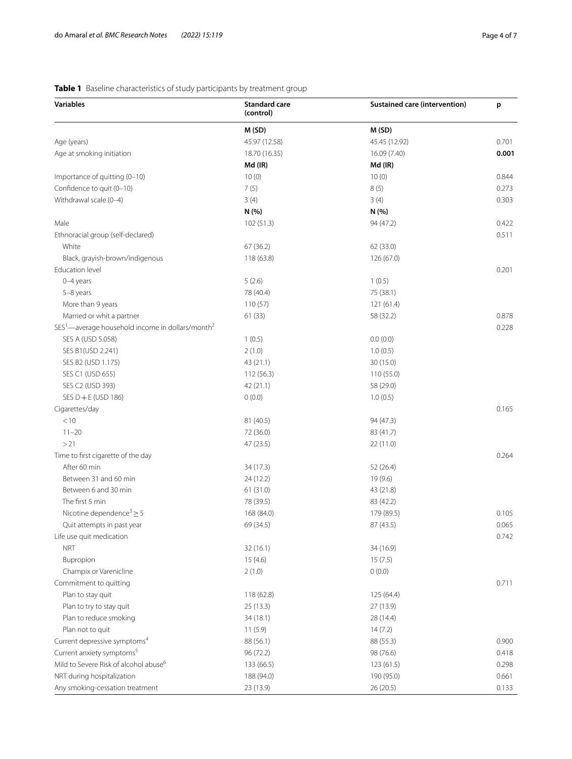# <span id="page-3-0"></span>**Table 1** Baseline characteristics of study participants by treatment group

| <b>Variables</b>                                                         | <b>Standard care</b><br>(control) | <b>Sustained care (intervention)</b> | p     |
|--------------------------------------------------------------------------|-----------------------------------|--------------------------------------|-------|
|                                                                          | M(SD)                             | M(SD)                                |       |
| Age (years)                                                              | 45.97 (12.58)                     | 45.45 (12.92)                        | 0.701 |
| Age at smoking initiation                                                | 18.70 (16.35)                     | 16.09 (7.40)                         | 0.001 |
|                                                                          | Md (IR)                           | Md (IR)                              |       |
| Importance of quitting (0-10)                                            | 10(0)                             | 10(0)                                | 0.844 |
| Confidence to quit (0-10)                                                | 7(5)                              | 8(5)                                 | 0.273 |
| Withdrawal scale (0-4)                                                   | 3(4)                              | 3(4)                                 | 0.303 |
|                                                                          | N(%                               | N(%)                                 |       |
| Male                                                                     | 102(51.3)                         | 94 (47.2)                            | 0.422 |
| Ethnoracial group (self-declared)                                        |                                   |                                      | 0.511 |
| White                                                                    | 67(36.2)                          | 62 (33.0)                            |       |
| Black, grayish-brown/indigenous                                          | 118 (63.8)                        | 126 (67.0)                           |       |
| Education level                                                          |                                   |                                      | 0.201 |
| 0-4 years                                                                | 5(2.6)                            | 1(0.5)                               |       |
| 5-8 years                                                                | 78 (40.4)                         | 75 (38.1)                            |       |
| More than 9 years                                                        | 110(57)                           | 121 (61.4)                           |       |
| Married or whit a partner                                                | 61(33)                            | 58 (32.2)                            | 0.878 |
| SES <sup>1</sup> —average household income in dollars/month <sup>2</sup> |                                   |                                      | 0.228 |
| SES A (USD 5.058)                                                        | 1(0.5)                            | 0.0(0.0)                             |       |
| SES B1(USD 2.241)                                                        | 2(1.0)                            | 1.0(0.5)                             |       |
| SES B2 (USD 1.175)                                                       | 43 (21.1)                         | 30 (15.0)                            |       |
| SES C1 (USD 655)                                                         | 112(56.3)                         | 110(55.0)                            |       |
| SES C2 (USD 393)                                                         | 42 (21.1)                         | 58 (29.0)                            |       |
| SES $D + E$ (USD 186)                                                    | 0(0.0)                            | 1.0(0.5)                             |       |
| Cigarettes/day                                                           |                                   |                                      | 0.165 |
| < 10                                                                     | 81 (40.5)                         | 94 (47.3)                            |       |
| $11 - 20$                                                                | 72 (36.0)                         | 83 (41.7)                            |       |
| >21                                                                      | 47 (23.5)                         | 22(11.0)                             |       |
| Time to first cigarette of the day                                       |                                   |                                      | 0.264 |
| After 60 min                                                             | 34 (17.3)                         | 52 (26.4)                            |       |
| Between 31 and 60 min                                                    | 24(12.2)                          | 19 (9.6)                             |       |
| Between 6 and 30 min                                                     | 61(31.0)                          | 43 (21.8)                            |       |
| The first 5 min                                                          | 78 (39.5)                         | 83 (42.2)                            |       |
| Nicotine dependence <sup>3</sup> $\geq$ 5                                | 168 (84.0)                        | 179 (89.5)                           | 0.105 |
| Quit attempts in past year                                               | 69 (34.5)                         | 87 (43.5)                            | 0.065 |
| Life use quit medication                                                 |                                   |                                      | 0.742 |
| <b>NRT</b>                                                               | 32 (16.1)                         | 34 (16.9)                            |       |
| Bupropion                                                                | 15(4.6)                           | 15(7.5)                              |       |
| Champix or Varenicline                                                   | 2(1.0)                            | 0(0.0)                               |       |
| Commitment to quitting                                                   |                                   |                                      | 0.711 |
| Plan to stay quit                                                        | 118 (62.8)                        | 125 (64.4)                           |       |
| Plan to try to stay quit                                                 | 25 (13.3)                         | 27 (13.9)                            |       |
| Plan to reduce smoking                                                   | 34(18.1)                          | 28 (14.4)                            |       |
| Plan not to quit                                                         | 11(5.9)                           | 14(7.2)                              |       |
| Current depressive symptoms <sup>4</sup>                                 | 88 (56.1)                         | 88 (55.3)                            | 0.900 |
| Current anxiety symptoms <sup>5</sup>                                    | 96 (72.2)                         | 98 (76.6)                            | 0.418 |
| Mild to Severe Risk of alcohol abuse <sup>6</sup>                        | 133 (66.5)                        | 123(61.5)                            | 0.298 |
| NRT during hospitalization                                               | 188 (94.0)                        | 190 (95.0)                           | 0.661 |
| Any smoking-cessation treatment                                          | 23 (13.9)                         | 26(20.5)                             | 0.133 |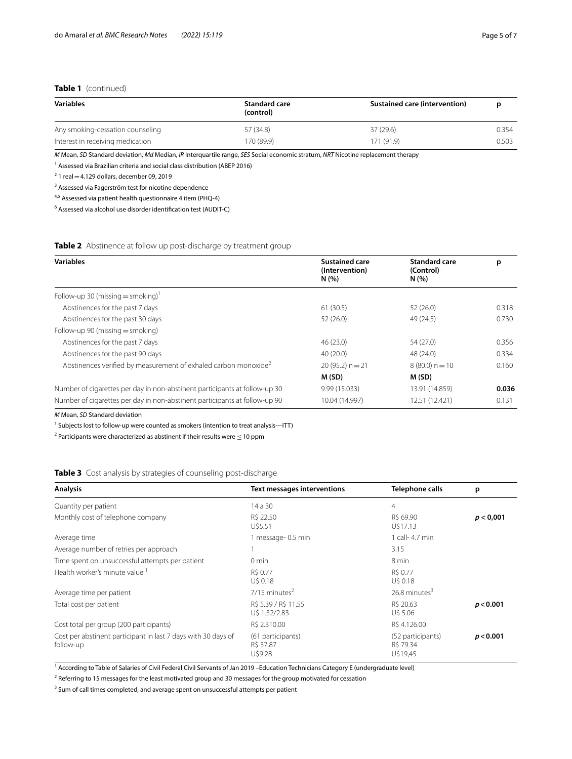# **Table 1** (continued)

| <b>Variables</b>                 | <b>Standard care</b><br>(control) | <b>Sustained care (intervention)</b> |       |
|----------------------------------|-----------------------------------|--------------------------------------|-------|
| Any smoking-cessation counseling | 57 (34.8)                         | 37(29.6)                             | 0.354 |
| Interest in receiving medication | 170 (89.9)                        | 171 (91.9)                           | 0.503 |

*M* Mean, *SD* Standard deviation, *Md* Median, *IR* Interquartile range, *SES* Social economic stratum, *NRT* Nicotine replacement therapy

<sup>1</sup> Assessed via Brazilian criteria and social class distribution (ABEP 2016)

 $2$  1 real  $=$  4.129 dollars, december 09, 2019

<sup>3</sup> Assessed via Fagerström test for nicotine dependence

4,5 Assessed via patient health questionnaire 4 item (PHQ-4)

<sup>6</sup> Assessed via alcohol use disorder identification test (AUDIT-C)

# <span id="page-4-0"></span>**Table 2** Abstinence at follow up post-discharge by treatment group

| <b>Variables</b>                                                            | <b>Sustained care</b><br>(Intervention)<br>N(%) | <b>Standard care</b><br>(Control)<br>N(% ) | p     |
|-----------------------------------------------------------------------------|-------------------------------------------------|--------------------------------------------|-------|
| Follow-up 30 (missing $=$ smoking) <sup>1</sup>                             |                                                 |                                            |       |
| Abstinences for the past 7 days                                             | 61(30.5)                                        | 52(26.0)                                   | 0.318 |
| Abstinences for the past 30 days                                            | 52(26.0)                                        | 49 (24.5)                                  | 0.730 |
| Follow-up 90 (missing $=$ smoking)                                          |                                                 |                                            |       |
| Abstinences for the past 7 days                                             | 46(23.0)                                        | 54 (27.0)                                  | 0.356 |
| Abstinences for the past 90 days                                            | 40(20.0)                                        | 48 (24.0)                                  | 0.334 |
| Abstinences verified by measurement of exhaled carbon monoxide <sup>2</sup> | $20(95.2) n = 21$                               | $8(80.0) n = 10$                           | 0.160 |
|                                                                             | M (SD)                                          | M (SD)                                     |       |
| Number of cigarettes per day in non-abstinent participants at follow-up 30  | 9.99 (15.033)                                   | 13.91 (14.859)                             | 0.036 |
| Number of cigarettes per day in non-abstinent participants at follow-up 90  | 10.04 (14.997)                                  | 12.51 (12.421)                             | 0.131 |

*M* Mean, *SD* Standard deviation

<sup>1</sup> Subjects lost to follow-up were counted as smokers (intention to treat analysis—ITT)

<sup>2</sup> Participants were characterized as abstinent if their results were  $\leq$  10 ppm

<span id="page-4-1"></span>**Table 3** Cost analysis by strategies of counseling post-discharge

| <b>Analysis</b>                                                            | <b>Text messages interventions</b>        | <b>Telephone calls</b>                     | p         |
|----------------------------------------------------------------------------|-------------------------------------------|--------------------------------------------|-----------|
| Quantity per patient                                                       | 14 a 30                                   | 4                                          |           |
| Monthly cost of telephone company                                          | R\$ 22.50<br>U\$5.51                      | R\$ 69.90<br>U\$17.13                      | p < 0,001 |
| Average time                                                               | 1 message-0.5 min                         | 1 call- 4.7 min                            |           |
| Average number of retries per approach                                     |                                           | 3.15                                       |           |
| Time spent on unsuccessful attempts per patient                            | $0 \text{ min}$                           | 8 min                                      |           |
| Health worker's minute value 1                                             | R\$ 0.77<br>U\$ 0.18                      | R\$ 0.77<br>U\$ 0.18                       |           |
| Average time per patient                                                   | $7/15$ minutes <sup>2</sup>               | 26.8 minutes <sup>3</sup>                  |           |
| Total cost per patient                                                     | R\$ 5.39 / R\$ 11.55<br>U\$ 1.32/2.83     | R\$ 20.63<br>U\$ 5.06                      | p < 0.001 |
| Cost total per group (200 participants)                                    | R\$ 2.310.00                              | R\$ 4.126.00                               |           |
| Cost per abstinent participant in last 7 days with 30 days of<br>follow-up | (61 participants)<br>R\$ 37.87<br>U\$9.28 | (52 participants)<br>R\$ 79.34<br>U\$19,45 | p < 0.001 |

<sup>1</sup> According to Table of Salaries of Civil Federal Civil Servants of Jan 2019 –Education Technicians Category E (undergraduate level)

<sup>2</sup> Referring to 15 messages for the least motivated group and 30 messages for the group motivated for cessation

<sup>3</sup> Sum of call times completed, and average spent on unsuccessful attempts per patient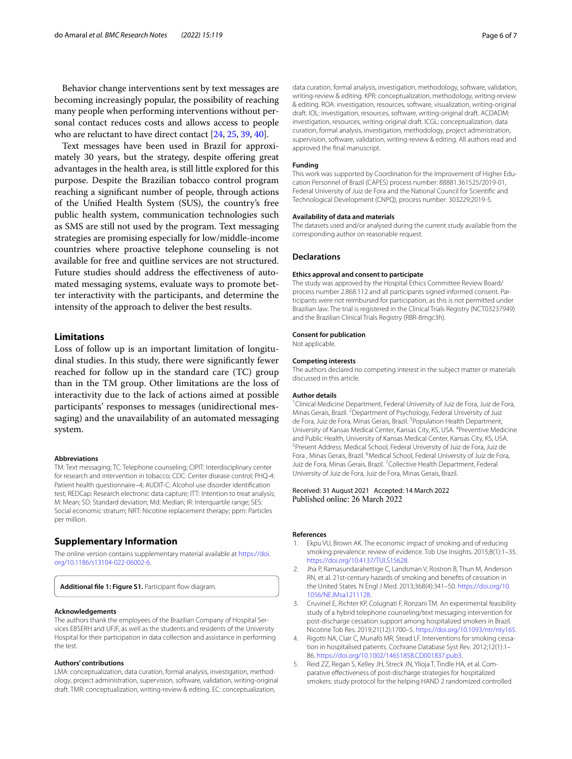Behavior change interventions sent by text messages are becoming increasingly popular, the possibility of reaching many people when performing interventions without personal contact reduces costs and allows access to people who are reluctant to have direct contact [\[24](#page-6-7), [25](#page-6-22), [39](#page-6-23), [40\]](#page-6-24).

Text messages have been used in Brazil for approximately 30 years, but the strategy, despite offering great advantages in the health area, is still little explored for this purpose. Despite the Brazilian tobacco control program reaching a signifcant number of people, through actions of the Unifed Health System (SUS), the country's free public health system, communication technologies such as SMS are still not used by the program. Text messaging strategies are promising especially for low/middle-income countries where proactive telephone counseling is not available for free and quitline services are not structured. Future studies should address the efectiveness of automated messaging systems, evaluate ways to promote better interactivity with the participants, and determine the intensity of the approach to deliver the best results.

# **Limitations**

Loss of follow up is an important limitation of longitudinal studies. In this study, there were signifcantly fewer reached for follow up in the standard care (TC) group than in the TM group. Other limitations are the loss of interactivity due to the lack of actions aimed at possible participants' responses to messages (unidirectional messaging) and the unavailability of an automated messaging system.

#### **Abbreviations**

TM: Text messaging; TC: Telephone counseling; CIPIT: Interdisciplinary center for research and intervention in tobacco; CDC: Center disease control; PHQ-4: Patient health questionnaire–4; AUDIT-C: Alcohol use disorder identifcation test; REDCap: Research electronic data capture; ITT: Intention to treat analysis; M: Mean; SD: Standard deviation; Md: Median; IR: Interquartile range; SES: Social economic stratum; NRT: Nicotine replacement therapy; ppm: Particles per million.

# **Supplementary Information**

The online version contains supplementary material available at [https://doi.](https://doi.org/10.1186/s13104-022-06002-6) [org/10.1186/s13104-022-06002-6](https://doi.org/10.1186/s13104-022-06002-6).

Additional file 1: Figure S1. Participant flow diagram.

## **Acknowledgements**

The authors thank the employees of the Brazilian Company of Hospital Services EBSERH and UFJF, as well as the students and residents of the University Hospital for their participation in data collection and assistance in performing the test.

# **Authors' contributions**

LMA: conceptualization, data curation, formal analysis, investigation, methodology, project administration, supervision, software, validation, writing-original draft. TMR: conceptualization, writing-review & editing. EC: conceptualization,

data curation, formal analysis, investigation, methodology, software, validation, writing-review & editing. KPR: conceptualization, methodology, writing-review & editing. ROA: investigation, resources, software, visualization, writing-original draft. IOL: investigation, resources, software, writing-original draft. ACDADM: investigation, resources, writing-original draft. ICGL: conceptualization, data curation, formal analysis, investigation, methodology, project administration, supervision, software, validation, writing-review & editing. All authors read and approved the fnal manuscript.

#### **Funding**

This work was supported by Coordination for the Improvement of Higher Education Personnel of Brazil (CAPES) process number: 88881.361525/2019-01, Federal University of Juiz de Fora and the National Council for Scientifc and Technological Development (CNPQ), process number: 303229;2019-5.

#### **Availability of data and materials**

The datasets used and/or analysed during the current study available from the corresponding author on reasonable request.

#### **Declarations**

#### **Ethics approval and consent to participate**

The study was approved by the Hospital Ethics Committee Review Board/ process number 2.868.112 and all participants signed informed consent. Participants were not reimbursed for participation, as this is not permitted under Brazilian law. The trial is registered in the Clinical Trials Registry (NCT03237949) and the Brazilian Clinical Trials Registry (RBR-8mgc3h).

### **Consent for publication**

Not applicable.

# **Competing interests**

The authors declared no competing interest in the subject matter or materials discussed in this article.

#### **Author details**

<sup>1</sup> Clinical Medicine Department, Federal University of Juiz de Fora, Juiz de Fora, Minas Gerais, Brazil. <sup>2</sup> Department of Psychology, Federal University of Juiz de Fora, Juiz de Fora, Minas Gerais, Brazil. <sup>3</sup> Population Health Department, University of Kansas Medical Center, Kansas City, KS, USA. <sup>4</sup> Preventive Medicine and Public Health, University of Kansas Medical Center, Kansas City, KS, USA. <sup>5</sup> Present Address: Medical School, Federal University of Juiz de Fora, Juiz de Fora, Minas Gerais, Brazil. <sup>6</sup>Medical School, Federal University of Juiz de Fora, Juiz de Fora, Minas Gerais, Brazil. <sup>7</sup> Collective Health Department, Federal University of Juiz de Fora, Juiz de Fora, Minas Gerais, Brazil.

# Received: 31 August 2021 Accepted: 14 March 2022<br>Published online: 26 March 2022

#### **References**

- <span id="page-5-0"></span>Ekpu VU, Brown AK. The economic impact of smoking and of reducing smoking prevalence: review of evidence. Tob Use Insights. 2015;8(1):1–35. <https://doi.org/10.4137/TUI.S15628>.
- <span id="page-5-1"></span>2. Jha P, Ramasundarahettige C, Landsman V, Rostron B, Thun M, Anderson RN, et al. 21st-century hazards of smoking and benefts of cessation in the United States. N Engl J Med. 2013;368(4):341–50. [https://doi.org/10.](https://doi.org/10.1056/NEJMsa1211128) [1056/NEJMsa1211128.](https://doi.org/10.1056/NEJMsa1211128)
- <span id="page-5-2"></span>3. Cruvinel E, Richter KP, Colugnati F, Ronzani TM. An experimental feasibility study of a hybrid telephone counseling/text messaging intervention for post-discharge cessation support among hospitalized smokers in Brazil. Nicotine Tob Res. 2019;21(12):1700–5. [https://doi.org/10.1093/ntr/nty165.](https://doi.org/10.1093/ntr/nty165)
- 4. Rigotti NA, Clair C, Munafò MR, Stead LF. Interventions for smoking cessation in hospitalised patients. Cochrane Database Syst Rev. 2012;12(1):1– 86. [https://doi.org/10.1002/14651858.CD001837.pub3.](https://doi.org/10.1002/14651858.CD001837.pub3)
- 5. Reid ZZ, Regan S, Kelley JH, Streck JN, Ylioja T, Tindle HA, et al. Comparative efectiveness of post-discharge strategies for hospitalized smokers: study protocol for the helping HAND 2 randomized controlled